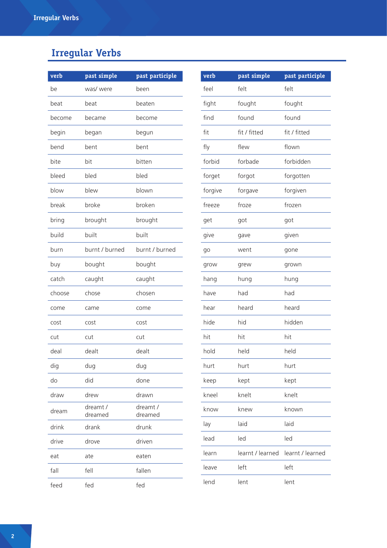## **Irregular Verbs**

| verb   | past simple         | past participle     |
|--------|---------------------|---------------------|
| be     | was/ were           | been                |
| beat   | beat                | beaten              |
| become | became              | become              |
| begin  | began               | begun               |
| bend   | hent                | bent                |
| bite   | bit                 | bitten              |
| bleed  | bled                | bled                |
| blow   | blew                | blown               |
| break  | broke               | broken              |
| bring  | brought             | brought             |
| build  | built               | built               |
| burn   | burnt / burned      | burnt / burned      |
| buy    | bought              | bought              |
| catch  | caught              | caught              |
| choose | chose               | chosen              |
| come   | came                | come                |
| cost   | cost                | cost                |
| cut    | cut                 | cut                 |
| deal   | dealt               | dealt               |
| dig    | dug                 | dug                 |
| do     | did                 | done                |
| draw   | drew                | drawn               |
| dream  | dreamt /<br>dreamed | dreamt /<br>dreamed |
| drink  | drank               | drunk               |
| drive  | drove               | driven              |
| eat    | ate                 | eaten               |
| fall   | fell                | fallen              |
| feed   | fed                 | fed                 |

| verb    | past simple      | past participle  |
|---------|------------------|------------------|
| feel    | felt             | felt             |
| fight   | fought           | fought           |
| find    | found            | found            |
| fit     | fit / fitted     | fit / fitted     |
| fly     | flew             | flown            |
| forbid  | forbade          | forbidden        |
| forget  | forgot           | forgotten        |
| forgive | forgave          | forgiven         |
| freeze  | froze            | frozen           |
| get     | got              | got              |
| give    | gave             | given            |
| go      | went             | gone             |
| grow    | grew             | grown            |
| hang    | hung             | hung             |
| have    | had              | had              |
| hear    | heard            | heard            |
| hide    | hid              | hidden           |
| hit     | hit              | hit              |
| hold    | held             | held             |
| hurt    | hurt             | hurt             |
| keep    | kept             | kept             |
| kneel   | knelt            | knelt            |
| know    | knew             | known            |
| lay     | laid             | laid             |
| lead    | led              | led              |
| learn   | learnt / learned | learnt / learned |
| leave   | left             | left             |
| lend    | lent             | lent             |